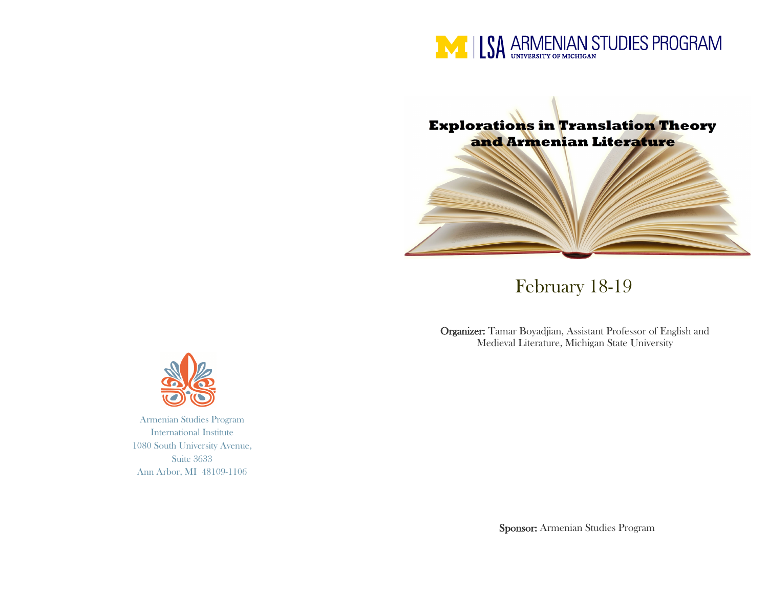



# February 18-19

Organizer: Tamar Boyadjian, Assistant Professor of English and Medieval Literature, Michigan State University

Sponsor: Armenian Studies Program